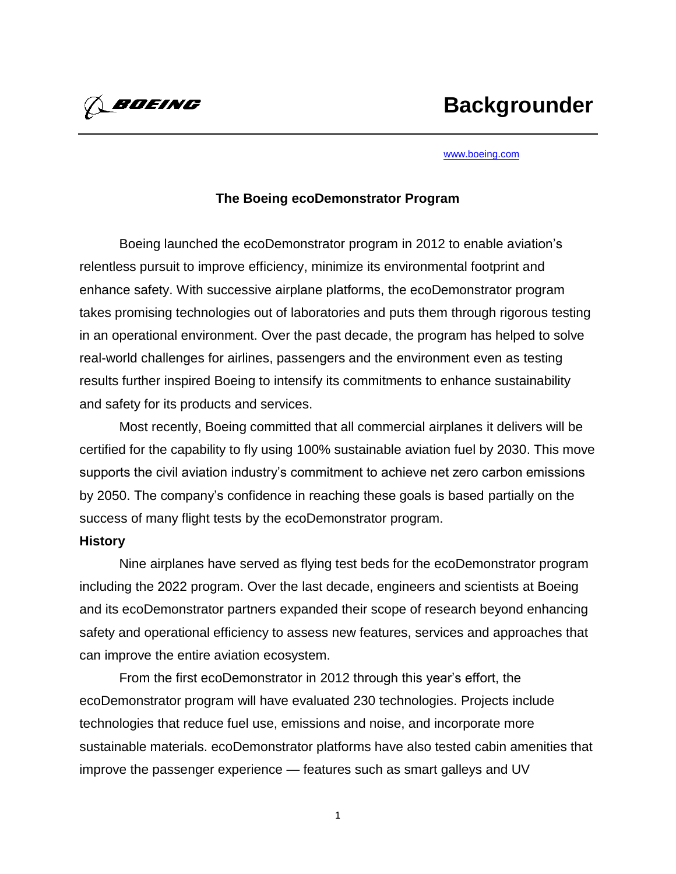*A BOEING* 

#### [www.boeing.com](http://www.boeing.com/)

### **The Boeing ecoDemonstrator Program**

Boeing launched the ecoDemonstrator program in 2012 to enable aviation's relentless pursuit to improve efficiency, minimize its environmental footprint and enhance safety. With successive airplane platforms, the ecoDemonstrator program takes promising technologies out of laboratories and puts them through rigorous testing in an operational environment. Over the past decade, the program has helped to solve real-world challenges for airlines, passengers and the environment even as testing results further inspired Boeing to intensify its commitments to enhance sustainability and safety for its products and services.

Most recently, Boeing committed that all commercial airplanes it delivers will be certified for the capability to fly using 100% sustainable aviation fuel by 2030. This move supports the civil aviation industry's commitment to achieve net zero carbon emissions by 2050. The company's confidence in reaching these goals is based partially on the success of many flight tests by the ecoDemonstrator program.

### **History**

Nine airplanes have served as flying test beds for the ecoDemonstrator program including the 2022 program. Over the last decade, engineers and scientists at Boeing and its ecoDemonstrator partners expanded their scope of research beyond enhancing safety and operational efficiency to assess new features, services and approaches that can improve the entire aviation ecosystem.

From the first ecoDemonstrator in 2012 through this year's effort, the ecoDemonstrator program will have evaluated 230 technologies. Projects include technologies that reduce fuel use, emissions and noise, and incorporate more sustainable materials. ecoDemonstrator platforms have also tested cabin amenities that improve the passenger experience — features such as smart galleys and UV

1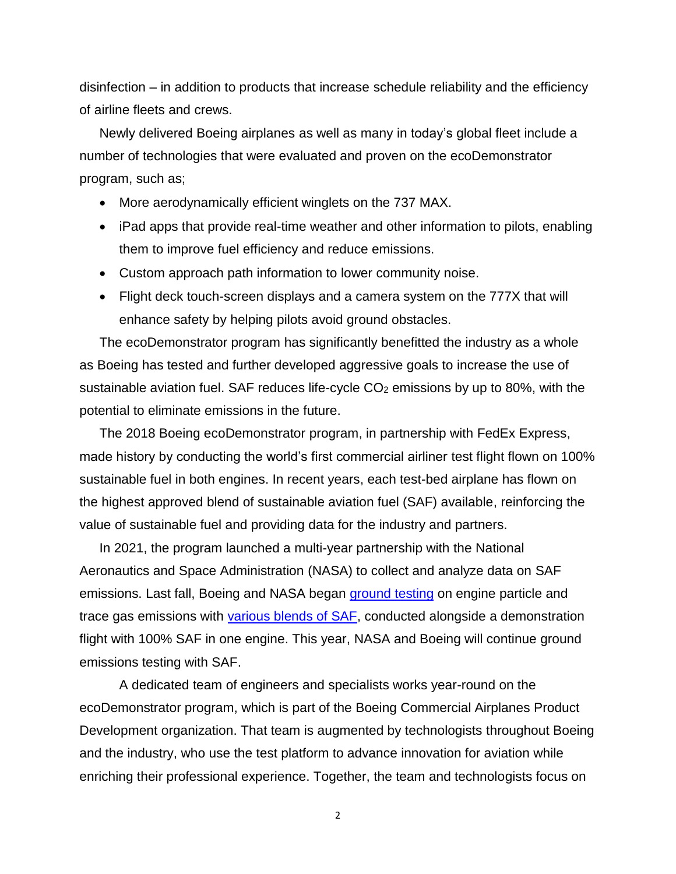disinfection – in addition to products that increase schedule reliability and the efficiency of airline fleets and crews.

Newly delivered Boeing airplanes as well as many in today's global fleet include a number of technologies that were evaluated and proven on the ecoDemonstrator program, such as;

- More aerodynamically efficient winglets on the 737 MAX.
- iPad apps that provide real-time weather and other information to pilots, enabling them to improve fuel efficiency and reduce emissions.
- Custom approach path information to lower community noise.
- Flight deck touch-screen displays and a camera system on the 777X that will enhance safety by helping pilots avoid ground obstacles.

The ecoDemonstrator program has significantly benefitted the industry as a whole as Boeing has tested and further developed aggressive goals to increase the use of sustainable aviation fuel. SAF reduces life-cycle  $CO<sub>2</sub>$  emissions by up to 80%, with the potential to eliminate emissions in the future.

The 2018 Boeing ecoDemonstrator program, in partnership with FedEx Express, made history by conducting the world's first commercial airliner test flight flown on 100% sustainable fuel in both engines. In recent years, each test-bed airplane has flown on the highest approved blend of sustainable aviation fuel (SAF) available, reinforcing the value of sustainable fuel and providing data for the industry and partners.

In 2021, the program launched a multi-year partnership with the National Aeronautics and Space Administration (NASA) to collect and analyze data on SAF emissions. Last fall, Boeing and NASA began [ground testing](https://www.boeing.com/features/2021/11/aerospace-pioneers-partner-for-sustainability.page) on engine particle and trace gas emissions with [various blends of SAF,](https://science.larc.nasa.gov/aero-fp/2021-boeing-ecodemonstrator/) conducted alongside a demonstration flight with 100% SAF in one engine. This year, NASA and Boeing will continue ground emissions testing with SAF.

A dedicated team of engineers and specialists works year-round on the ecoDemonstrator program, which is part of the Boeing Commercial Airplanes Product Development organization. That team is augmented by technologists throughout Boeing and the industry, who use the test platform to advance innovation for aviation while enriching their professional experience. Together, the team and technologists focus on

2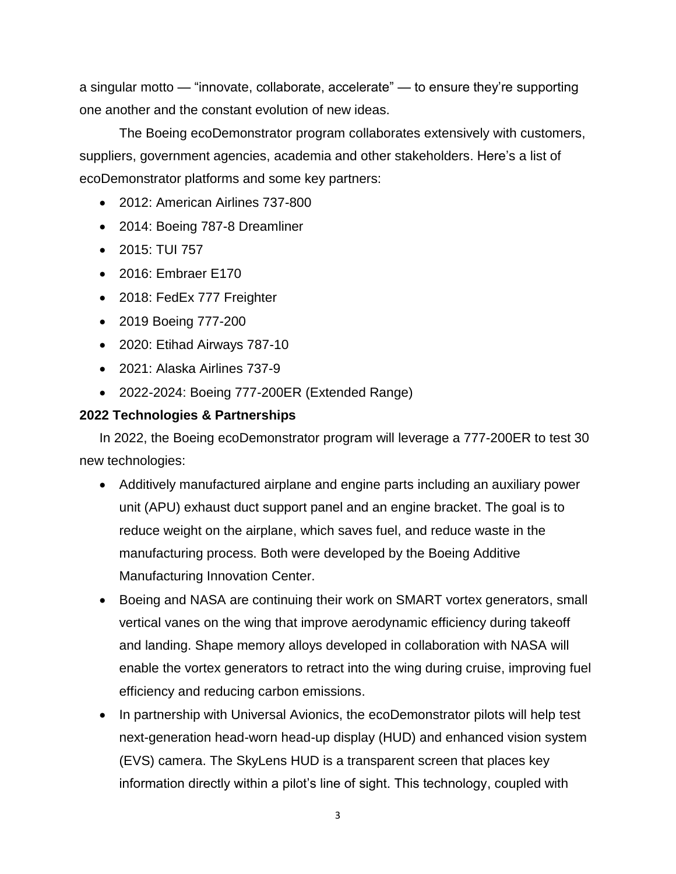a singular motto — "innovate, collaborate, accelerate" — to ensure they're supporting one another and the constant evolution of new ideas.

The Boeing ecoDemonstrator program collaborates extensively with customers, suppliers, government agencies, academia and other stakeholders. Here's a list of ecoDemonstrator platforms and some key partners:

- 2012: American Airlines 737-800
- 2014: Boeing 787-8 Dreamliner
- 2015: TUI 757
- 2016: Embraer E170
- 2018: FedEx 777 Freighter
- 2019 Boeing 777-200
- 2020: Etihad Airways 787-10
- 2021: Alaska Airlines 737-9
- 2022-2024: Boeing 777-200ER (Extended Range)

# **2022 Technologies & Partnerships**

In 2022, the Boeing ecoDemonstrator program will leverage a 777-200ER to test 30 new technologies:

- Additively manufactured airplane and engine parts including an auxiliary power unit (APU) exhaust duct support panel and an engine bracket. The goal is to reduce weight on the airplane, which saves fuel, and reduce waste in the manufacturing process. Both were developed by the Boeing Additive Manufacturing Innovation Center.
- Boeing and NASA are continuing their work on SMART vortex generators, small vertical vanes on the wing that improve aerodynamic efficiency during takeoff and landing. Shape memory alloys developed in collaboration with NASA will enable the vortex generators to retract into the wing during cruise, improving fuel efficiency and reducing carbon emissions.
- In partnership with Universal Avionics, the ecoDemonstrator pilots will help test next-generation head-worn head-up display (HUD) and enhanced vision system (EVS) camera. The SkyLens HUD is a transparent screen that places key information directly within a pilot's line of sight. This technology, coupled with